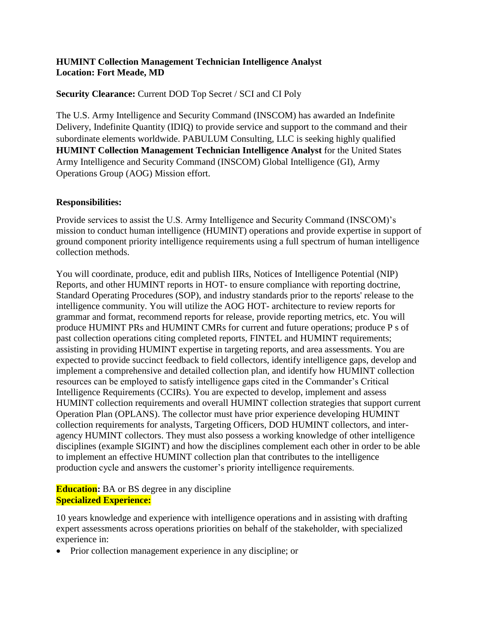## **HUMINT Collection Management Technician Intelligence Analyst Location: Fort Meade, MD**

# **Security Clearance:** Current DOD Top Secret / SCI and CI Poly

The U.S. Army Intelligence and Security Command (INSCOM) has awarded an Indefinite Delivery, Indefinite Quantity (IDIQ) to provide service and support to the command and their subordinate elements worldwide. PABULUM Consulting, LLC is seeking highly qualified **HUMINT Collection Management Technician Intelligence Analyst for the United States** Army Intelligence and Security Command (INSCOM) Global Intelligence (GI), Army Operations Group (AOG) Mission effort.

## **Responsibilities:**

Provide services to assist the U.S. Army Intelligence and Security Command (INSCOM)'s mission to conduct human intelligence (HUMINT) operations and provide expertise in support of ground component priority intelligence requirements using a full spectrum of human intelligence collection methods.

You will coordinate, produce, edit and publish IIRs, Notices of Intelligence Potential (NIP) Reports, and other HUMINT reports in HOT- to ensure compliance with reporting doctrine, Standard Operating Procedures (SOP), and industry standards prior to the reports' release to the intelligence community. You will utilize the AOG HOT- architecture to review reports for grammar and format, recommend reports for release, provide reporting metrics, etc. You will produce HUMINT PRs and HUMINT CMRs for current and future operations; produce P s of past collection operations citing completed reports, FINTEL and HUMINT requirements; assisting in providing HUMINT expertise in targeting reports, and area assessments. You are expected to provide succinct feedback to field collectors, identify intelligence gaps, develop and implement a comprehensive and detailed collection plan, and identify how HUMINT collection resources can be employed to satisfy intelligence gaps cited in the Commander's Critical Intelligence Requirements (CCIRs). You are expected to develop, implement and assess HUMINT collection requirements and overall HUMINT collection strategies that support current Operation Plan (OPLANS). The collector must have prior experience developing HUMINT collection requirements for analysts, Targeting Officers, DOD HUMINT collectors, and interagency HUMINT collectors. They must also possess a working knowledge of other intelligence disciplines (example SIGINT) and how the disciplines complement each other in order to be able to implement an effective HUMINT collection plan that contributes to the intelligence production cycle and answers the customer's priority intelligence requirements.

# **Education:** BA or BS degree in any discipline **Specialized Experience:**

10 years knowledge and experience with intelligence operations and in assisting with drafting expert assessments across operations priorities on behalf of the stakeholder, with specialized experience in:

• Prior collection management experience in any discipline; or